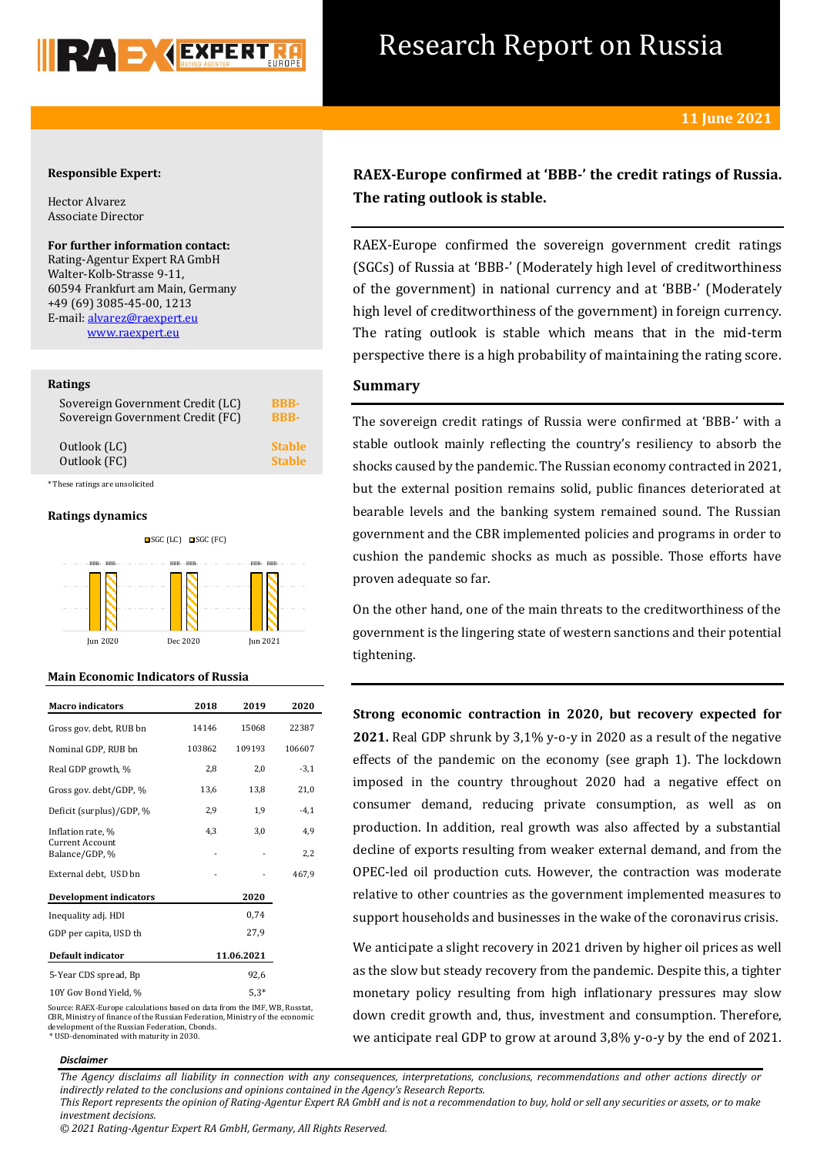

## Research Report on Russia

## **Responsible Expert:**

Hector Alvarez Associate Director

## **For further information contact:**

Rating-Agentur Expert RA GmbH Walter-Kolb-Strasse 9-11, 60594 Frankfurt am Main, Germany +49 (69) 3085-45-00, 1213 E-mail[: alvarez@raexpert.eu](mailto:alvarez@raexpert.eu) [www.raexpert.eu](http://raexpert.eu/)

## **Ratings**

| Sovereign Government Credit (LC) | <b>BBB-</b>   |
|----------------------------------|---------------|
| Sovereign Government Credit (FC) | <b>BBB-</b>   |
| Outlook (LC)                     | <b>Stable</b> |
| Outlook (FC)                     | <b>Stable</b> |
|                                  |               |

\* These ratings are unsolicited

## **Ratings dynamics**



## **Main Economic Indicators of Russia**

| <b>Macro</b> indicators           | 2018       | 2019   | 2020   |
|-----------------------------------|------------|--------|--------|
| Gross gov. debt, RUB bn           | 14146      | 15068  | 22387  |
| Nominal GDP, RUB bn               | 103862     | 109193 | 106607 |
| Real GDP growth, %                | 2,8        | 2,0    | $-3,1$ |
| Gross gov. debt/GDP, %            | 13,6       | 13,8   | 21,0   |
| Deficit (surplus)/GDP, %          | 2,9        | 1,9    | $-4,1$ |
| Inflation rate, %                 | 4,3        | 3,0    | 4,9    |
| Current Account<br>Balance/GDP, % |            |        | 2,2    |
| External debt, USD bn             |            |        | 467,9  |
| Development indicators            |            | 2020   |        |
| Inequality adj. HDI               |            | 0,74   |        |
| GDP per capita, USD th            |            | 27,9   |        |
| Default indicator                 | 11.06.2021 |        |        |
| 5-Year CDS spread, Bp             |            | 92,6   |        |
| 10Y Gov Bond Yield, %             |            | $5,3*$ |        |

Source: RAEX-Europe calculations based on data from the IMF, WB, Rosstat, CBR, Ministry of finance of the Russian Federation, Ministry of the economic development of the Russian Federation, Cbonds. \* USD-denominated with maturity in 2030.

## **RAEX-Europe confirmed at 'BBB-' the credit ratings of Russia. The rating outlook is stable.**

RAEX-Europe confirmed the sovereign government credit ratings (SGCs) of Russia at 'BBB-' (Moderately high level of creditworthiness of the government) in national currency and at 'BBB-' (Moderately high level of creditworthiness of the government) in foreign currency. The rating outlook is stable which means that in the mid-term perspective there is a high probability of maintaining the rating score.

## **Summary**

The sovereign credit ratings of Russia were confirmed at 'BBB-' with a stable outlook mainly reflecting the country's resiliency to absorb the shocks caused by the pandemic. The Russian economy contracted in 2021, but the external position remains solid, public finances deteriorated at bearable levels and the banking system remained sound. The Russian government and the CBR implemented policies and programs in order to cushion the pandemic shocks as much as possible. Those efforts have proven adequate so far.

On the other hand, one of the main threats to the creditworthiness of the government is the lingering state of western sanctions and their potential tightening.

**Strong economic contraction in 2020, but recovery expected for 2021.** Real GDP shrunk by 3,1% y-o-y in 2020 as a result of the negative effects of the pandemic on the economy (see graph 1). The lockdown imposed in the country throughout 2020 had a negative effect on consumer demand, reducing private consumption, as well as on production. In addition, real growth was also affected by a substantial decline of exports resulting from weaker external demand, and from the OPEC-led oil production cuts. However, the contraction was moderate relative to other countries as the government implemented measures to support households and businesses in the wake of the coronavirus crisis.

We anticipate a slight recovery in 2021 driven by higher oil prices as well as the slow but steady recovery from the pandemic. Despite this, a tighter monetary policy resulting from high inflationary pressures may slow down credit growth and, thus, investment and consumption. Therefore, we anticipate real GDP to grow at around 3,8% y-o-y by the end of 2021.

## *Disclaimer*

*The Agency disclaims all liability in connection with any consequences, interpretations, conclusions, recommendations and other actions directly or indirectly related to the conclusions and opinions contained in the Agency's Research Reports. This Report represents the opinion of Rating-Agentur Expert RA GmbH and is not a recommendation to buy, hold or sell any securities or assets, or to make* 

*investment decisions.*

*<sup>© 2021</sup> Rating-Agentur Expert RA GmbH, Germany, All Rights Reserved.*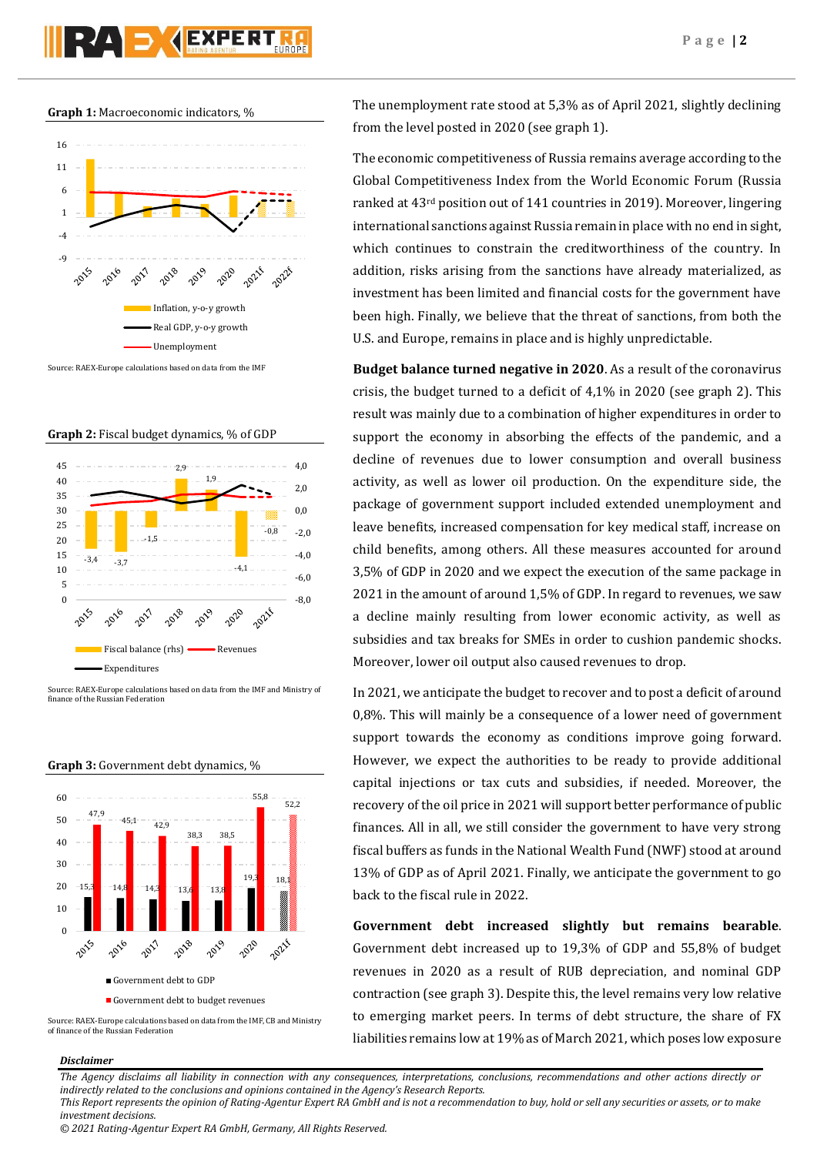# **PAD KEXPERT**





**Graph 2:** Fiscal budget dynamics, % of GDP



Source: RAEX-Europe calculations based on data from the IMF and Ministry of finance of the Russian Federation



**Graph 3:** Government debt dynamics, %

The unemployment rate stood at 5,3% as of April 2021, slightly declining from the level posted in 2020 (see graph 1).

The economic competitiveness of Russia remains average according to the Global Competitiveness Index from the World Economic Forum (Russia ranked at 43rd position out of 141 countries in 2019). Moreover, lingering international sanctions against Russia remain in place with no end in sight, which continues to constrain the creditworthiness of the country. In addition, risks arising from the sanctions have already materialized, as investment has been limited and financial costs for the government have been high. Finally, we believe that the threat of sanctions, from both the U.S. and Europe, remains in place and is highly unpredictable.

**Budget balance turned negative in 2020**. As a result of the coronavirus crisis, the budget turned to a deficit of 4,1% in 2020 (see graph 2). This result was mainly due to a combination of higher expenditures in order to support the economy in absorbing the effects of the pandemic, and a decline of revenues due to lower consumption and overall business activity, as well as lower oil production. On the expenditure side, the package of government support included extended unemployment and leave benefits, increased compensation for key medical staff, increase on child benefits, among others. All these measures accounted for around 3,5% of GDP in 2020 and we expect the execution of the same package in 2021 in the amount of around 1,5% of GDP. In regard to revenues, we saw a decline mainly resulting from lower economic activity, as well as subsidies and tax breaks for SMEs in order to cushion pandemic shocks. Moreover, lower oil output also caused revenues to drop.

In 2021, we anticipate the budget to recover and to post a deficit of around 0,8%. This will mainly be a consequence of a lower need of government support towards the economy as conditions improve going forward. However, we expect the authorities to be ready to provide additional capital injections or tax cuts and subsidies, if needed. Moreover, the recovery of the oil price in 2021 will support better performance of public finances. All in all, we still consider the government to have very strong fiscal buffers as funds in the National Wealth Fund (NWF) stood at around 13% of GDP as of April 2021. Finally, we anticipate the government to go back to the fiscal rule in 2022.

**Government debt increased slightly but remains bearable**. Government debt increased up to 19,3% of GDP and 55,8% of budget revenues in 2020 as a result of RUB depreciation, and nominal GDP contraction (see graph 3). Despite this, the level remains very low relative to emerging market peers. In terms of debt structure, the share of FX liabilities remains low at 19% as of March 2021, which poses low exposure

## *Disclaimer*

*The Agency disclaims all liability in connection with any consequences, interpretations, conclusions, recommendations and other actions directly or indirectly related to the conclusions and opinions contained in the Agency's Research Reports.*

*This Report represents the opinion of Rating-Agentur Expert RA GmbH and is not a recommendation to buy, hold or sell any securities or assets, or to make investment decisions.*

*© 2021 Rating-Agentur Expert RA GmbH, Germany, All Rights Reserved.*

Source: RAEX-Europe calculations based on data from the IMF, CB and Ministry of finance of the Russian Federation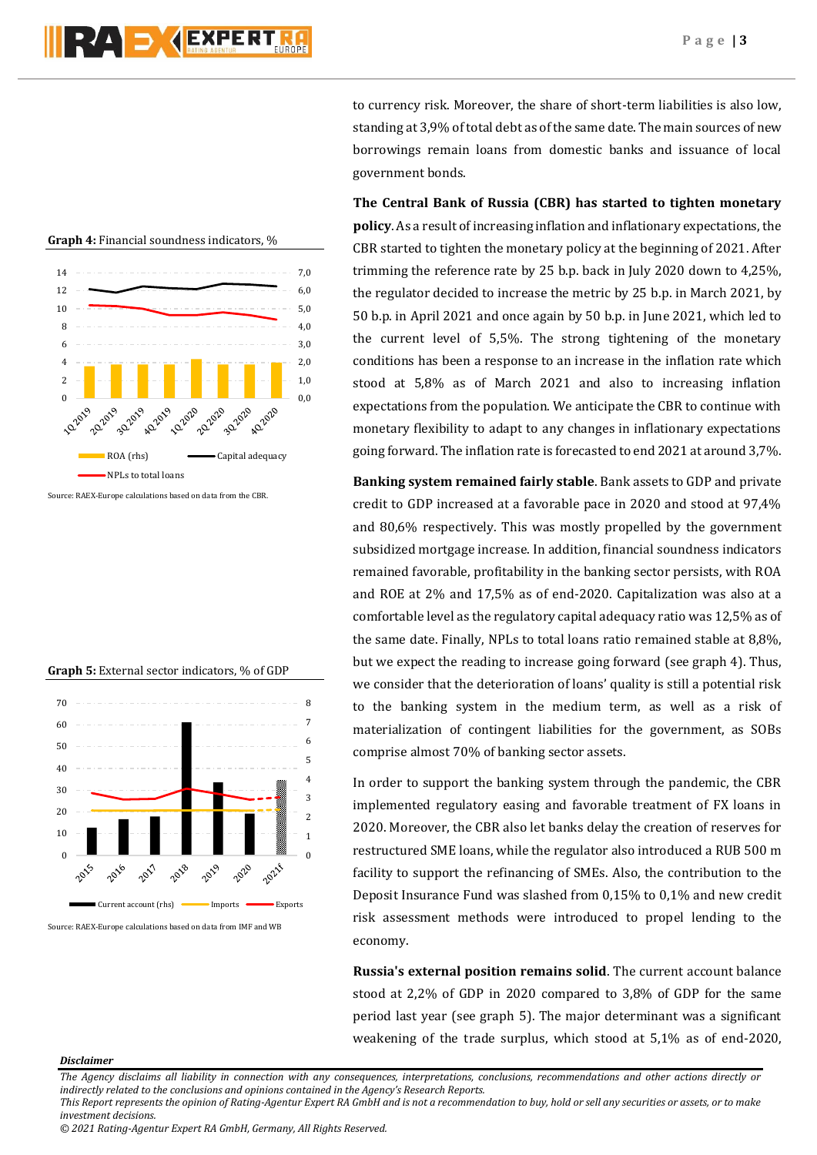

**Graph 4:** Financial soundness indicators, %

Source: RAEX-Europe calculations based on data from the CBR.

## **Graph 5:** External sector indicators, % of GDP



Source: RAEX-Europe calculations based on data from IMF and WB

to currency risk. Moreover, the share of short-term liabilities is also low, standing at 3,9% of total debt as of the same date. The main sources of new borrowings remain loans from domestic banks and issuance of local government bonds.

**The Central Bank of Russia (CBR) has started to tighten monetary policy**. As a result of increasing inflation and inflationary expectations, the CBR started to tighten the monetary policy at the beginning of 2021. After trimming the reference rate by 25 b.p. back in July 2020 down to 4,25%, the regulator decided to increase the metric by 25 b.p. in March 2021, by 50 b.p. in April 2021 and once again by 50 b.p. in June 2021, which led to the current level of 5,5%. The strong tightening of the monetary conditions has been a response to an increase in the inflation rate which stood at 5,8% as of March 2021 and also to increasing inflation expectations from the population. We anticipate the CBR to continue with monetary flexibility to adapt to any changes in inflationary expectations going forward. The inflation rate is forecasted to end 2021 at around 3,7%.

**Banking system remained fairly stable**. Bank assets to GDP and private credit to GDP increased at a favorable pace in 2020 and stood at 97,4% and 80,6% respectively. This was mostly propelled by the government subsidized mortgage increase. In addition, financial soundness indicators remained favorable, profitability in the banking sector persists, with ROA and ROE at 2% and 17,5% as of end-2020. Capitalization was also at a comfortable level as the regulatory capital adequacy ratio was 12,5% as of the same date. Finally, NPLs to total loans ratio remained stable at 8,8%, but we expect the reading to increase going forward (see graph 4). Thus, we consider that the deterioration of loans' quality is still a potential risk to the banking system in the medium term, as well as a risk of materialization of contingent liabilities for the government, as SOBs comprise almost 70% of banking sector assets.

In order to support the banking system through the pandemic, the CBR implemented regulatory easing and favorable treatment of FX loans in 2020. Moreover, the CBR also let banks delay the creation of reserves for restructured SME loans, while the regulator also introduced a RUB 500 m facility to support the refinancing of SMEs. Also, the contribution to the Deposit Insurance Fund was slashed from 0,15% to 0,1% and new credit risk assessment methods were introduced to propel lending to the economy.

**Russia's external position remains solid**. The current account balance stood at 2,2% of GDP in 2020 compared to 3,8% of GDP for the same period last year (see graph 5). The major determinant was a significant weakening of the trade surplus, which stood at 5,1% as of end-2020,

### *Disclaimer*

*The Agency disclaims all liability in connection with any consequences, interpretations, conclusions, recommendations and other actions directly or indirectly related to the conclusions and opinions contained in the Agency's Research Reports. This Report represents the opinion of Rating-Agentur Expert RA GmbH and is not a recommendation to buy, hold or sell any securities or assets, or to make* 

*investment decisions.*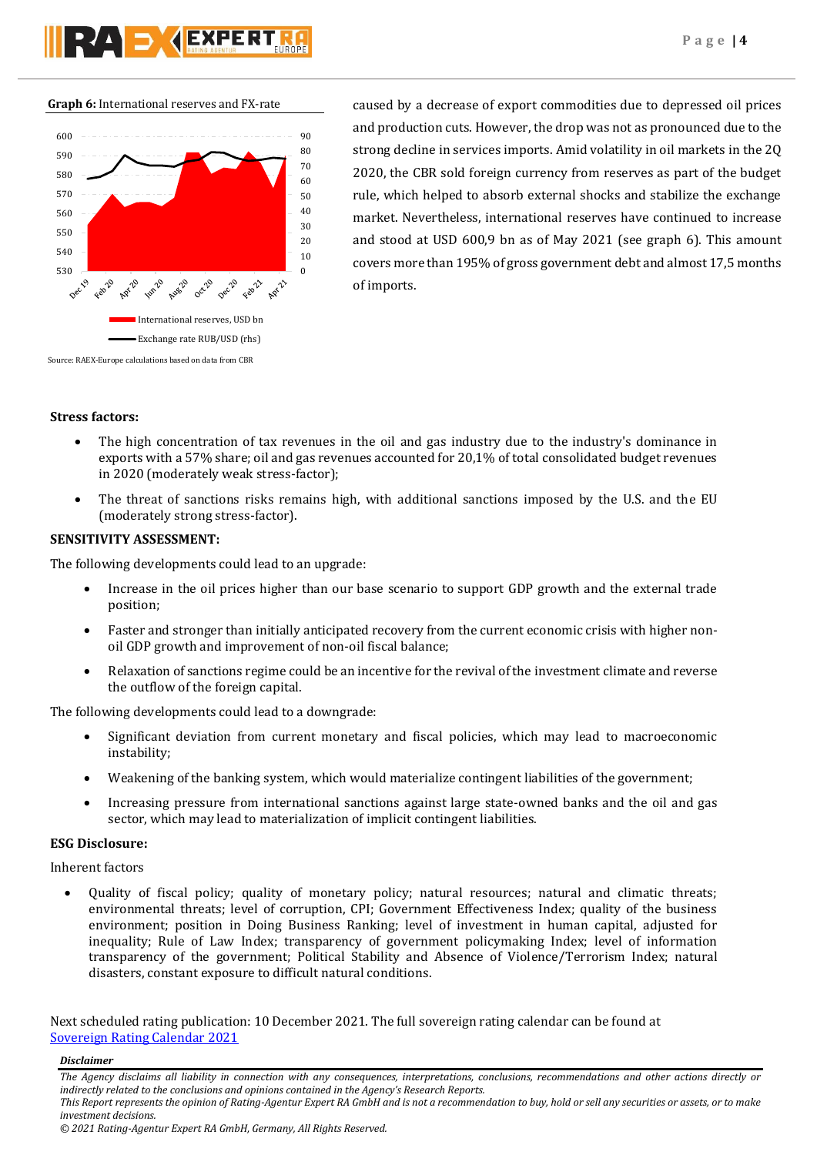**Graph 6:** International reserves and FX-rate



caused by a decrease of export commodities due to depressed oil prices and production cuts. However, the drop was not as pronounced due to the strong decline in services imports. Amid volatility in oil markets in the 2Q 2020, the CBR sold foreign currency from reserves as part of the budget rule, which helped to absorb external shocks and stabilize the exchange market. Nevertheless, international reserves have continued to increase and stood at USD 600,9 bn as of May 2021 (see graph 6). This amount covers more than 195% of gross government debt and almost 17,5 months of imports.

## **Stress factors:**

- The high concentration of tax revenues in the oil and gas industry due to the industry's dominance in exports with a 57% share; oil and gas revenues accounted for 20,1% of total consolidated budget revenues in 2020 (moderately weak stress-factor);
- The threat of sanctions risks remains high, with additional sanctions imposed by the U.S. and the EU (moderately strong stress-factor).

## **SENSITIVITY ASSESSMENT:**

The following developments could lead to an upgrade:

- Increase in the oil prices higher than our base scenario to support GDP growth and the external trade position;
- Faster and stronger than initially anticipated recovery from the current economic crisis with higher nonoil GDP growth and improvement of non-oil fiscal balance;
- Relaxation of sanctions regime could be an incentive for the revival of the investment climate and reverse the outflow of the foreign capital.

The following developments could lead to a downgrade:

- Significant deviation from current monetary and fiscal policies, which may lead to macroeconomic instability;
- Weakening of the banking system, which would materialize contingent liabilities of the government;
- Increasing pressure from international sanctions against large state-owned banks and the oil and gas sector, which may lead to materialization of implicit contingent liabilities.

## **ESG Disclosure:**

Inherent factors

 Quality of fiscal policy; quality of monetary policy; natural resources; natural and climatic threats; environmental threats; level of corruption, CPI; Government Effectiveness Index; quality of the business environment; position in Doing Business Ranking; level of investment in human capital, adjusted for inequality; Rule of Law Index; transparency of government policymaking Index; level of information transparency of the government; Political Stability and Absence of Violence/Terrorism Index; natural disasters, constant exposure to difficult natural conditions.

Next scheduled rating publication: 10 December 2021. The full sovereign rating calendar can be found at [Sovereign Rating Calendar 2021](https://raexpert.eu/sovereign/#conf-tab-5)

*Disclaimer* 

*The Agency disclaims all liability in connection with any consequences, interpretations, conclusions, recommendations and other actions directly or indirectly related to the conclusions and opinions contained in the Agency's Research Reports.*

*This Report represents the opinion of Rating-Agentur Expert RA GmbH and is not a recommendation to buy, hold or sell any securities or assets, or to make investment decisions.*

*<sup>© 2021</sup> Rating-Agentur Expert RA GmbH, Germany, All Rights Reserved.*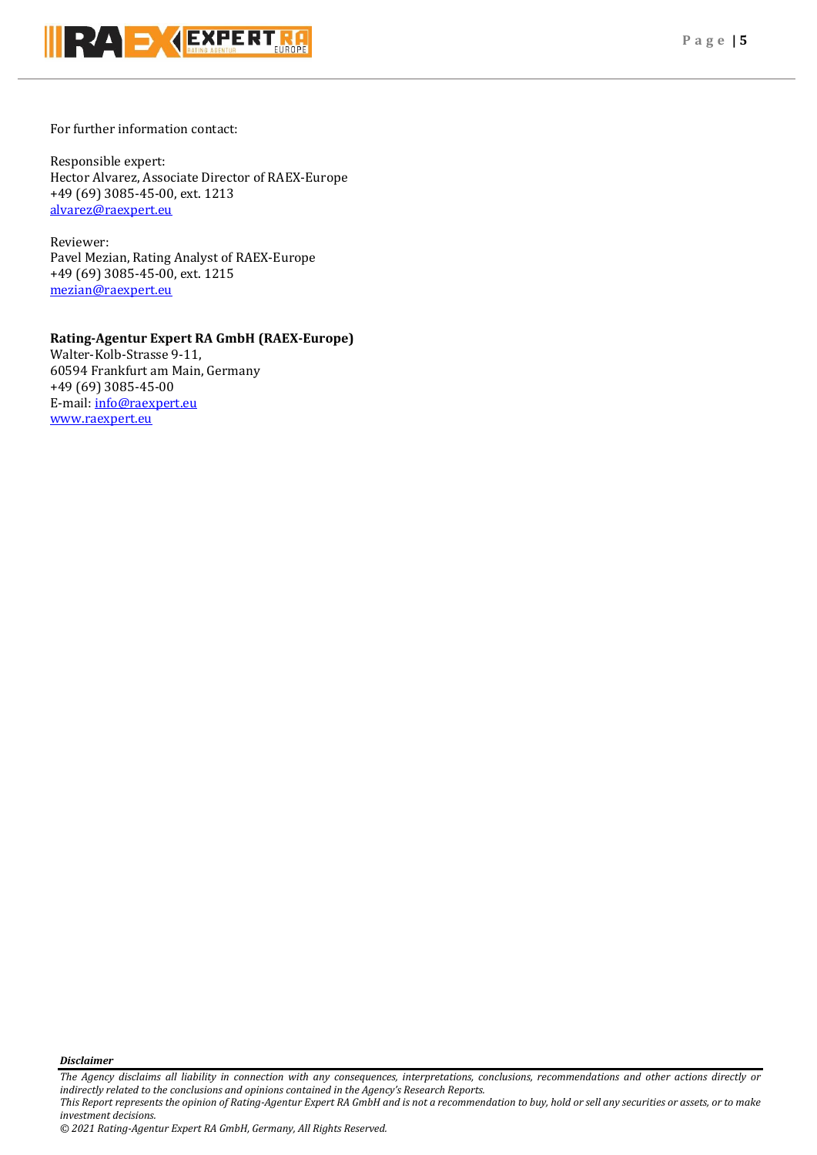

For further information contact:

Responsible expert: Hector Alvarez, Associate Director of RAEX-Europe +49 (69) 3085-45-00, ext. 1213 [alvarez@raexpert.eu](mailto:alvarez@raexpert.eu)

Reviewer: Pavel Mezian, Rating Analyst of RAEX-Europe +49 (69) 3085-45-00, ext. 1215 [mezian@raexpert.eu](mailto:mezian@raexpert.eu)

## **Rating-Agentur Expert RA GmbH (RAEX-Europe)**

Walter-Kolb-Strasse 9-11, 60594 Frankfurt am Main, Germany +49 (69) 3085-45-00 E-mail[: info@raexpert.eu](mailto:info@raexpert.eu) [www.raexpert.eu](http://raexpert.eu/)

*Disclaimer* 

*The Agency disclaims all liability in connection with any consequences, interpretations, conclusions, recommendations and other actions directly or indirectly related to the conclusions and opinions contained in the Agency's Research Reports. This Report represents the opinion of Rating-Agentur Expert RA GmbH and is not a recommendation to buy, hold or sell any securities or assets, or to make* 

*investment decisions. © 2021 Rating-Agentur Expert RA GmbH, Germany, All Rights Reserved.*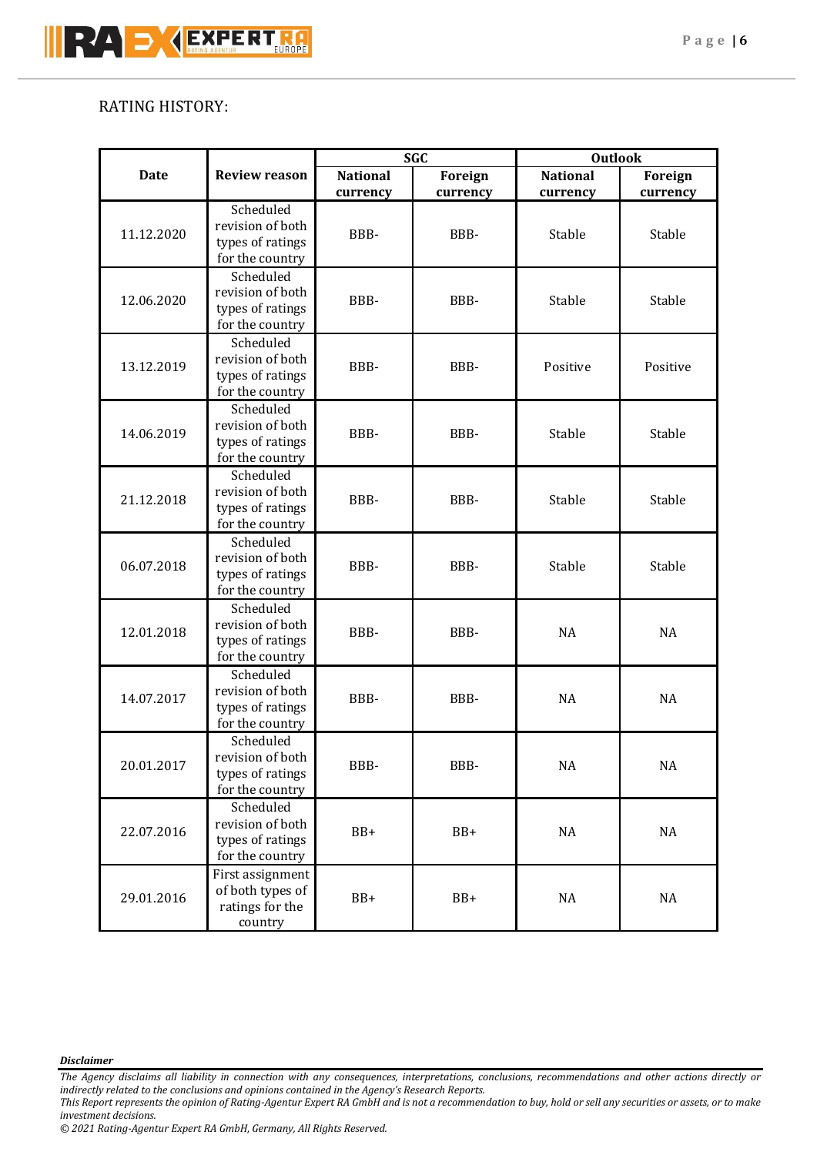## RATING HISTORY:

| <b>Date</b> | <b>Review reason</b>                                                 | <b>SGC</b>                  |                            | <b>Outlook</b>              |                     |
|-------------|----------------------------------------------------------------------|-----------------------------|----------------------------|-----------------------------|---------------------|
|             |                                                                      | <b>National</b><br>currency | <b>Foreign</b><br>currency | <b>National</b><br>currency | Foreign<br>currency |
| 11.12.2020  | Scheduled<br>revision of both<br>types of ratings<br>for the country | BBB-                        | BBB-                       | Stable                      | Stable              |
| 12.06.2020  | Scheduled<br>revision of both<br>types of ratings<br>for the country | BBB-                        | BBB-                       | Stable                      | Stable              |
| 13.12.2019  | Scheduled<br>revision of both<br>types of ratings<br>for the country | BBB-                        | BBB-                       | Positive                    | Positive            |
| 14.06.2019  | Scheduled<br>revision of both<br>types of ratings<br>for the country | BBB-                        | BBB-                       | Stable                      | Stable              |
| 21.12.2018  | Scheduled<br>revision of both<br>types of ratings<br>for the country | BBB-                        | BBB-                       | Stable                      | Stable              |
| 06.07.2018  | Scheduled<br>revision of both<br>types of ratings<br>for the country | BBB-                        | BBB-                       | Stable                      | Stable              |
| 12.01.2018  | Scheduled<br>revision of both<br>types of ratings<br>for the country | BBB-                        | BBB-                       | NA                          | <b>NA</b>           |
| 14.07.2017  | Scheduled<br>revision of both<br>types of ratings<br>for the country | BBB-                        | BBB-                       | <b>NA</b>                   | <b>NA</b>           |
| 20.01.2017  | Scheduled<br>revision of both<br>types of ratings<br>for the country | BBB-                        | BBB-                       | $\rm NA$                    | NA                  |
| 22.07.2016  | Scheduled<br>revision of both<br>types of ratings<br>for the country | BB+                         | BB+                        | $\rm NA$                    | $\rm NA$            |
| 29.01.2016  | First assignment<br>of both types of<br>ratings for the<br>country   | BB+                         | $BB+$                      | $\rm NA$                    | NA                  |

*Disclaimer* 

*The Agency disclaims all liability in connection with any consequences, interpretations, conclusions, recommendations and other actions directly or indirectly related to the conclusions and opinions contained in the Agency's Research Reports.*

*This Report represents the opinion of Rating-Agentur Expert RA GmbH and is not a recommendation to buy, hold or sell any securities or assets, or to make investment decisions.*